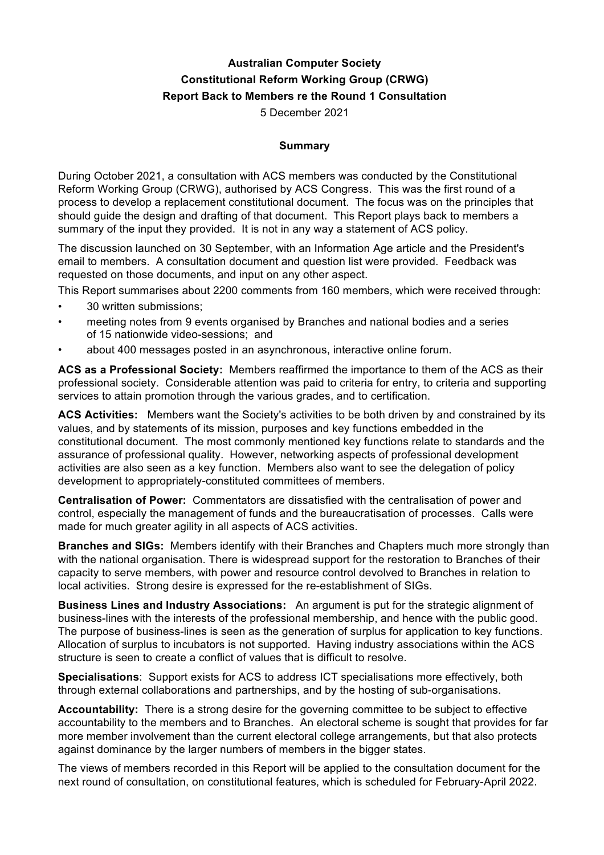# **Australian Computer Society Constitutional Reform Working Group (CRWG) Report Back to Members re the Round 1 Consultation**

5 December 2021

#### **Summary**

During October 2021, a consultation with ACS members was conducted by the Constitutional Reform Working Group (CRWG), authorised by ACS Congress. This was the first round of a process to develop a replacement constitutional document. The focus was on the principles that should guide the design and drafting of that document. This Report plays back to members a summary of the input they provided. It is not in any way a statement of ACS policy.

The discussion launched on 30 September, with an Information Age article and the President's email to members. A consultation document and question list were provided. Feedback was requested on those documents, and input on any other aspect.

This Report summarises about 2200 comments from 160 members, which were received through:

- 30 written submissions:
- meeting notes from 9 events organised by Branches and national bodies and a series of 15 nationwide video-sessions; and
- about 400 messages posted in an asynchronous, interactive online forum.

**ACS as a Professional Society:** Members reaffirmed the importance to them of the ACS as their professional society. Considerable attention was paid to criteria for entry, to criteria and supporting services to attain promotion through the various grades, and to certification.

**ACS Activities:** Members want the Society's activities to be both driven by and constrained by its values, and by statements of its mission, purposes and key functions embedded in the constitutional document. The most commonly mentioned key functions relate to standards and the assurance of professional quality. However, networking aspects of professional development activities are also seen as a key function. Members also want to see the delegation of policy development to appropriately-constituted committees of members.

**Centralisation of Power:** Commentators are dissatisfied with the centralisation of power and control, especially the management of funds and the bureaucratisation of processes. Calls were made for much greater agility in all aspects of ACS activities.

**Branches and SIGs:** Members identify with their Branches and Chapters much more strongly than with the national organisation. There is widespread support for the restoration to Branches of their capacity to serve members, with power and resource control devolved to Branches in relation to local activities. Strong desire is expressed for the re-establishment of SIGs.

**Business Lines and Industry Associations:** An argument is put for the strategic alignment of business-lines with the interests of the professional membership, and hence with the public good. The purpose of business-lines is seen as the generation of surplus for application to key functions. Allocation of surplus to incubators is not supported. Having industry associations within the ACS structure is seen to create a conflict of values that is difficult to resolve.

**Specialisations**: Support exists for ACS to address ICT specialisations more effectively, both through external collaborations and partnerships, and by the hosting of sub-organisations.

**Accountability:** There is a strong desire for the governing committee to be subject to effective accountability to the members and to Branches. An electoral scheme is sought that provides for far more member involvement than the current electoral college arrangements, but that also protects against dominance by the larger numbers of members in the bigger states.

The views of members recorded in this Report will be applied to the consultation document for the next round of consultation, on constitutional features, which is scheduled for February-April 2022.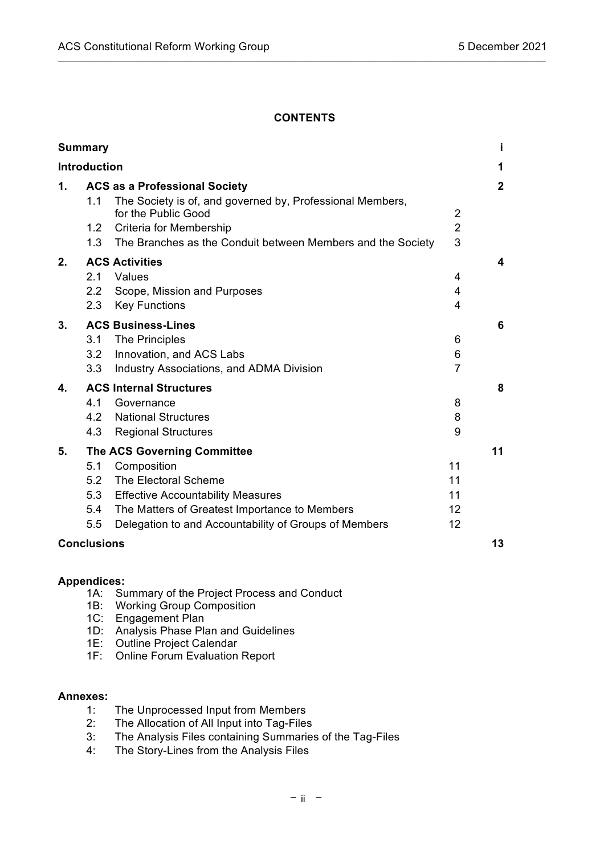# **CONTENTS**

 $\_$  ,  $\_$  ,  $\_$  ,  $\_$  ,  $\_$  ,  $\_$  ,  $\_$  ,  $\_$  ,  $\_$  ,  $\_$  ,  $\_$  ,  $\_$  ,  $\_$  ,  $\_$  ,  $\_$  ,  $\_$  ,  $\_$  ,  $\_$  ,  $\_$  ,  $\_$  ,  $\_$  ,  $\_$  ,  $\_$  ,  $\_$  ,  $\_$  ,  $\_$  ,  $\_$  ,  $\_$  ,  $\_$  ,  $\_$  ,  $\_$  ,  $\_$  ,  $\_$  ,  $\_$  ,  $\_$  ,  $\_$  ,  $\_$  ,

| <b>Summary</b>                                                                                                                                                                                                                                                           | j.                                                      |
|--------------------------------------------------------------------------------------------------------------------------------------------------------------------------------------------------------------------------------------------------------------------------|---------------------------------------------------------|
| <b>Introduction</b>                                                                                                                                                                                                                                                      | 1                                                       |
| $\mathbf 1$ .<br><b>ACS as a Professional Society</b><br>The Society is of, and governed by, Professional Members,<br>1.1<br>for the Public Good<br>1.2 Criteria for Membership<br>1.3<br>The Branches as the Conduit between Members and the Society                    | $\overline{2}$<br>$\overline{2}$<br>$\overline{2}$<br>3 |
| <b>ACS Activities</b><br>2.<br>2.1<br>Values<br>$2.2\phantom{0}$<br>Scope, Mission and Purposes<br><b>Key Functions</b><br>2.3                                                                                                                                           | 4<br>4<br>4<br>4                                        |
| <b>ACS Business-Lines</b><br>3.<br><b>The Principles</b><br>3.1<br>Innovation, and ACS Labs<br>3.2<br>3.3<br><b>Industry Associations, and ADMA Division</b>                                                                                                             | 6<br>6<br>6<br>$\overline{7}$                           |
| <b>ACS Internal Structures</b><br>4.<br>4.1<br>Governance<br><b>National Structures</b><br>4.2<br>4.3<br><b>Regional Structures</b>                                                                                                                                      | 8<br>8<br>8<br>9                                        |
| 5.<br><b>The ACS Governing Committee</b><br>5.1<br>Composition<br>The Electoral Scheme<br>5.2<br>5.3<br><b>Effective Accountability Measures</b><br>The Matters of Greatest Importance to Members<br>5.4<br>Delegation to and Accountability of Groups of Members<br>5.5 | 11<br>11<br>11<br>11<br>$12 \overline{ }$<br>12         |
| <b>Conclusions</b>                                                                                                                                                                                                                                                       | 13                                                      |

#### **Appendices:**

- 1A: Summary of the Project Process and Conduct
- 1B: Working Group Composition
- 1C: Engagement Plan
- 1D: Analysis Phase Plan and Guidelines
- 1E: Outline Project Calendar
- 1F: Online Forum Evaluation Report

### **Annexes:**

- 1: The Unprocessed Input from Members
- 2: The Allocation of All Input into Tag-Files
- 3: The Analysis Files containing Summaries of the Tag-Files
- 4: The Story-Lines from the Analysis Files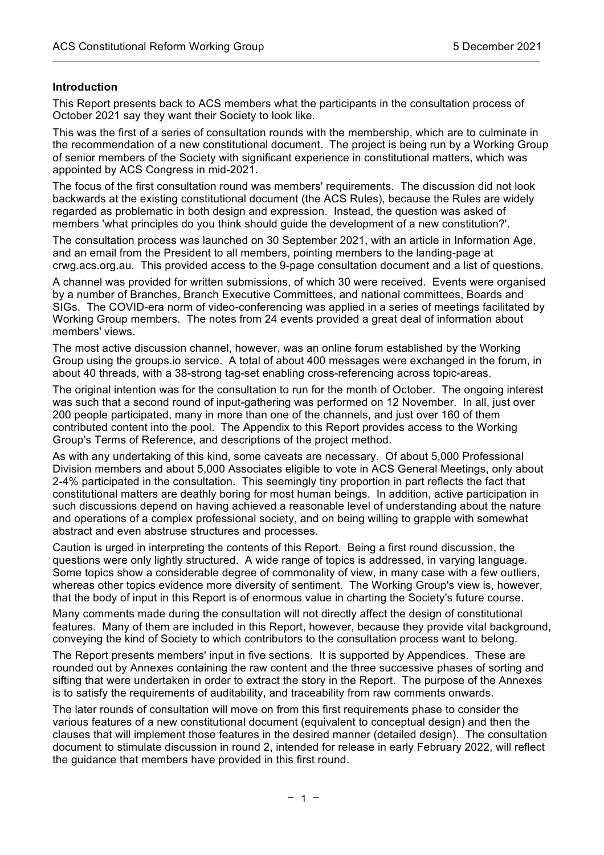#### **Introduction**

This Report presents back to ACS members what the participants in the consultation process of October 2021 say they want their Society to look like.

 $\mathcal{L}_\mathcal{L} = \{ \mathcal{L}_\mathcal{L} = \{ \mathcal{L}_\mathcal{L} = \{ \mathcal{L}_\mathcal{L} = \{ \mathcal{L}_\mathcal{L} = \{ \mathcal{L}_\mathcal{L} = \{ \mathcal{L}_\mathcal{L} = \{ \mathcal{L}_\mathcal{L} = \{ \mathcal{L}_\mathcal{L} = \{ \mathcal{L}_\mathcal{L} = \{ \mathcal{L}_\mathcal{L} = \{ \mathcal{L}_\mathcal{L} = \{ \mathcal{L}_\mathcal{L} = \{ \mathcal{L}_\mathcal{L} = \{ \mathcal{L}_\mathcal{$ 

This was the first of a series of consultation rounds with the membership, which are to culminate in the recommendation of a new constitutional document. The project is being run by a Working Group of senior members of the Society with significant experience in constitutional matters, which was appointed by ACS Congress in mid-2021.

The focus of the first consultation round was members' requirements. The discussion did not look backwards at the existing constitutional document (the ACS Rules), because the Rules are widely regarded as problematic in both design and expression. Instead, the question was asked of members 'what principles do you think should guide the development of a new constitution?'.

The consultation process was launched on 30 September 2021, with an article in Information Age, and an email from the President to all members, pointing members to the landing-page at crwg.acs.org.au. This provided access to the 9-page consultation document and a list of questions.

A channel was provided for written submissions, of which 30 were received. Events were organised by a number of Branches, Branch Executive Committees, and national committees, Boards and SIGs. The COVID-era norm of video-conferencing was applied in a series of meetings facilitated by Working Group members. The notes from 24 events provided a great deal of information about members' views.

The most active discussion channel, however, was an online forum established by the Working Group using the groups.io service. A total of about 400 messages were exchanged in the forum, in about 40 threads, with a 38-strong tag-set enabling cross-referencing across topic-areas.

The original intention was for the consultation to run for the month of October. The ongoing interest was such that a second round of input-gathering was performed on 12 November. In all, just over 200 people participated, many in more than one of the channels, and just over 160 of them contributed content into the pool. The Appendix to this Report provides access to the Working Group's Terms of Reference, and descriptions of the project method.

As with any undertaking of this kind, some caveats are necessary. Of about 5,000 Professional Division members and about 5,000 Associates eligible to vote in ACS General Meetings, only about 2-4% participated in the consultation. This seemingly tiny proportion in part reflects the fact that constitutional matters are deathly boring for most human beings. In addition, active participation in such discussions depend on having achieved a reasonable level of understanding about the nature and operations of a complex professional society, and on being willing to grapple with somewhat abstract and even abstruse structures and processes.

Caution is urged in interpreting the contents of this Report. Being a first round discussion, the questions were only lightly structured. A wide range of topics is addressed, in varying language. Some topics show a considerable degree of commonality of view, in many case with a few outliers, whereas other topics evidence more diversity of sentiment. The Working Group's view is, however, that the body of input in this Report is of enormous value in charting the Society's future course.

Many comments made during the consultation will not directly affect the design of constitutional features. Many of them are included in this Report, however, because they provide vital background, conveying the kind of Society to which contributors to the consultation process want to belong.

The Report presents members' input in five sections. It is supported by Appendices. These are rounded out by Annexes containing the raw content and the three successive phases of sorting and sifting that were undertaken in order to extract the story in the Report. The purpose of the Annexes is to satisfy the requirements of auditability, and traceability from raw comments onwards.

The later rounds of consultation will move on from this first requirements phase to consider the various features of a new constitutional document (equivalent to conceptual design) and then the clauses that will implement those features in the desired manner (detailed design). The consultation document to stimulate discussion in round 2, intended for release in early February 2022, will reflect the guidance that members have provided in this first round.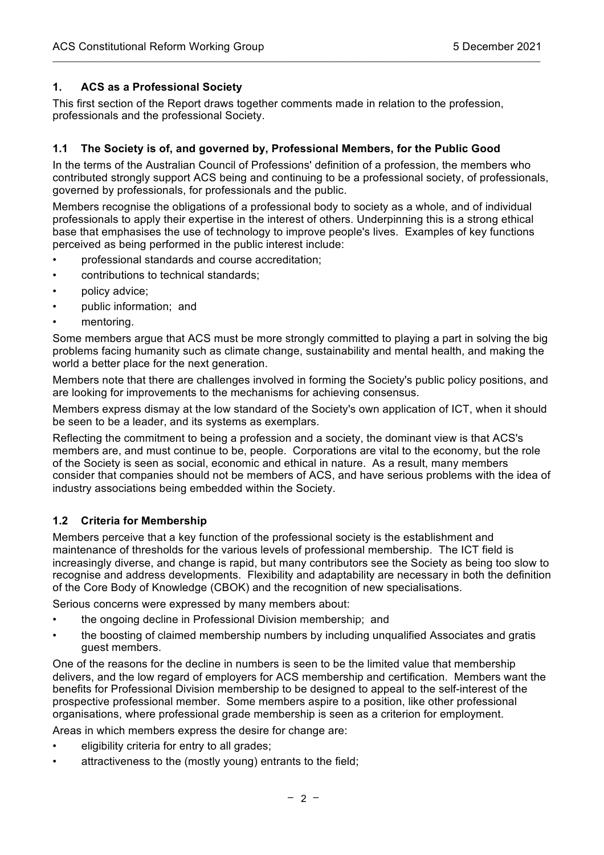### **1. ACS as a Professional Society**

This first section of the Report draws together comments made in relation to the profession, professionals and the professional Society.

 $\mathcal{L}_\mathcal{L} = \{ \mathcal{L}_\mathcal{L} = \{ \mathcal{L}_\mathcal{L} = \{ \mathcal{L}_\mathcal{L} = \{ \mathcal{L}_\mathcal{L} = \{ \mathcal{L}_\mathcal{L} = \{ \mathcal{L}_\mathcal{L} = \{ \mathcal{L}_\mathcal{L} = \{ \mathcal{L}_\mathcal{L} = \{ \mathcal{L}_\mathcal{L} = \{ \mathcal{L}_\mathcal{L} = \{ \mathcal{L}_\mathcal{L} = \{ \mathcal{L}_\mathcal{L} = \{ \mathcal{L}_\mathcal{L} = \{ \mathcal{L}_\mathcal{$ 

### **1.1 The Society is of, and governed by, Professional Members, for the Public Good**

In the terms of the Australian Council of Professions' definition of a profession, the members who contributed strongly support ACS being and continuing to be a professional society, of professionals, governed by professionals, for professionals and the public.

Members recognise the obligations of a professional body to society as a whole, and of individual professionals to apply their expertise in the interest of others. Underpinning this is a strong ethical base that emphasises the use of technology to improve people's lives. Examples of key functions perceived as being performed in the public interest include:

- professional standards and course accreditation;
- contributions to technical standards;
- policy advice;
- public information; and
- mentoring.

Some members argue that ACS must be more strongly committed to playing a part in solving the big problems facing humanity such as climate change, sustainability and mental health, and making the world a better place for the next generation.

Members note that there are challenges involved in forming the Society's public policy positions, and are looking for improvements to the mechanisms for achieving consensus.

Members express dismay at the low standard of the Society's own application of ICT, when it should be seen to be a leader, and its systems as exemplars.

Reflecting the commitment to being a profession and a society, the dominant view is that ACS's members are, and must continue to be, people. Corporations are vital to the economy, but the role of the Society is seen as social, economic and ethical in nature. As a result, many members consider that companies should not be members of ACS, and have serious problems with the idea of industry associations being embedded within the Society.

#### **1.2 Criteria for Membership**

Members perceive that a key function of the professional society is the establishment and maintenance of thresholds for the various levels of professional membership. The ICT field is increasingly diverse, and change is rapid, but many contributors see the Society as being too slow to recognise and address developments. Flexibility and adaptability are necessary in both the definition of the Core Body of Knowledge (CBOK) and the recognition of new specialisations.

Serious concerns were expressed by many members about:

- the ongoing decline in Professional Division membership; and
- the boosting of claimed membership numbers by including unqualified Associates and gratis guest members.

One of the reasons for the decline in numbers is seen to be the limited value that membership delivers, and the low regard of employers for ACS membership and certification. Members want the benefits for Professional Division membership to be designed to appeal to the self-interest of the prospective professional member. Some members aspire to a position, like other professional organisations, where professional grade membership is seen as a criterion for employment.

Areas in which members express the desire for change are:

- eligibility criteria for entry to all grades;
- attractiveness to the (mostly young) entrants to the field: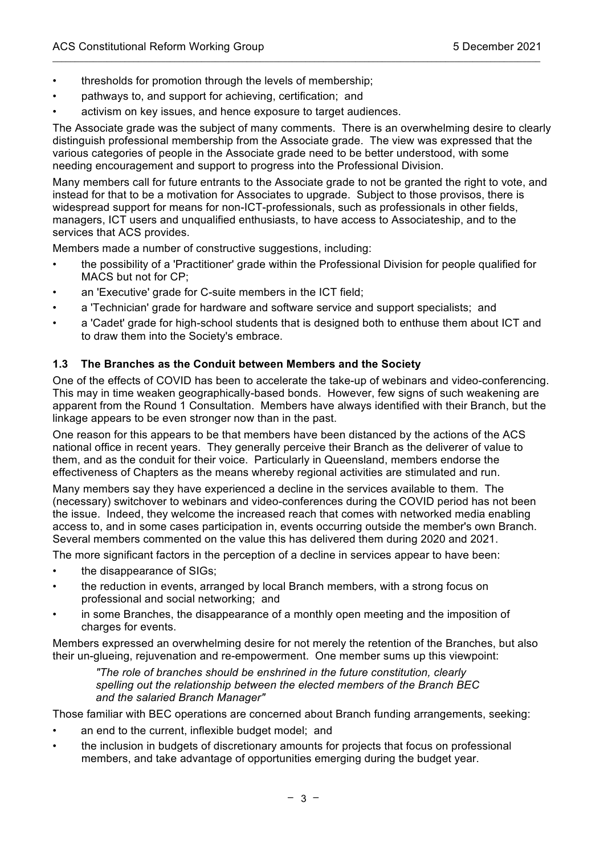- thresholds for promotion through the levels of membership;
- pathways to, and support for achieving, certification; and
- activism on key issues, and hence exposure to target audiences.

The Associate grade was the subject of many comments. There is an overwhelming desire to clearly distinguish professional membership from the Associate grade. The view was expressed that the various categories of people in the Associate grade need to be better understood, with some needing encouragement and support to progress into the Professional Division.

 $\mathcal{L}_\mathcal{L} = \{ \mathcal{L}_\mathcal{L} = \{ \mathcal{L}_\mathcal{L} = \{ \mathcal{L}_\mathcal{L} = \{ \mathcal{L}_\mathcal{L} = \{ \mathcal{L}_\mathcal{L} = \{ \mathcal{L}_\mathcal{L} = \{ \mathcal{L}_\mathcal{L} = \{ \mathcal{L}_\mathcal{L} = \{ \mathcal{L}_\mathcal{L} = \{ \mathcal{L}_\mathcal{L} = \{ \mathcal{L}_\mathcal{L} = \{ \mathcal{L}_\mathcal{L} = \{ \mathcal{L}_\mathcal{L} = \{ \mathcal{L}_\mathcal{$ 

Many members call for future entrants to the Associate grade to not be granted the right to vote, and instead for that to be a motivation for Associates to upgrade. Subject to those provisos, there is widespread support for means for non-ICT-professionals, such as professionals in other fields, managers, ICT users and unqualified enthusiasts, to have access to Associateship, and to the services that ACS provides.

Members made a number of constructive suggestions, including:

- the possibility of a 'Practitioner' grade within the Professional Division for people qualified for MACS but not for CP;
- an 'Executive' grade for C-suite members in the ICT field;
- a 'Technician' grade for hardware and software service and support specialists; and
- a 'Cadet' grade for high-school students that is designed both to enthuse them about ICT and to draw them into the Society's embrace.

### **1.3 The Branches as the Conduit between Members and the Society**

One of the effects of COVID has been to accelerate the take-up of webinars and video-conferencing. This may in time weaken geographically-based bonds. However, few signs of such weakening are apparent from the Round 1 Consultation. Members have always identified with their Branch, but the linkage appears to be even stronger now than in the past.

One reason for this appears to be that members have been distanced by the actions of the ACS national office in recent years. They generally perceive their Branch as the deliverer of value to them, and as the conduit for their voice. Particularly in Queensland, members endorse the effectiveness of Chapters as the means whereby regional activities are stimulated and run.

Many members say they have experienced a decline in the services available to them. The (necessary) switchover to webinars and video-conferences during the COVID period has not been the issue. Indeed, they welcome the increased reach that comes with networked media enabling access to, and in some cases participation in, events occurring outside the member's own Branch. Several members commented on the value this has delivered them during 2020 and 2021.

The more significant factors in the perception of a decline in services appear to have been:

- the disappearance of SIGs;
- the reduction in events, arranged by local Branch members, with a strong focus on professional and social networking; and
- in some Branches, the disappearance of a monthly open meeting and the imposition of charges for events.

Members expressed an overwhelming desire for not merely the retention of the Branches, but also their un-glueing, rejuvenation and re-empowerment. One member sums up this viewpoint:

*"The role of branches should be enshrined in the future constitution, clearly spelling out the relationship between the elected members of the Branch BEC and the salaried Branch Manager"*

Those familiar with BEC operations are concerned about Branch funding arrangements, seeking:

- an end to the current, inflexible budget model; and
- the inclusion in budgets of discretionary amounts for projects that focus on professional members, and take advantage of opportunities emerging during the budget year.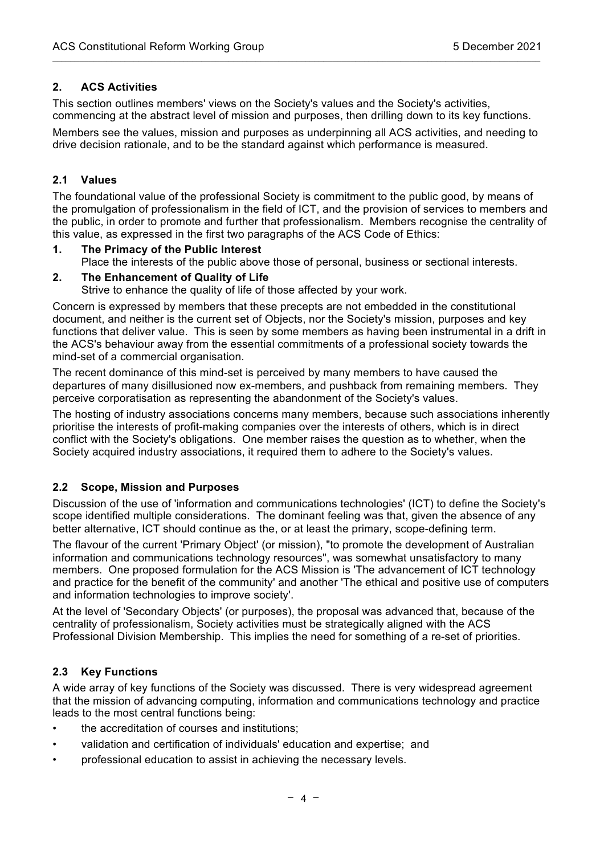### **2. ACS Activities**

This section outlines members' views on the Society's values and the Society's activities, commencing at the abstract level of mission and purposes, then drilling down to its key functions.

 $\mathcal{L}_\mathcal{L} = \{ \mathcal{L}_\mathcal{L} = \{ \mathcal{L}_\mathcal{L} = \{ \mathcal{L}_\mathcal{L} = \{ \mathcal{L}_\mathcal{L} = \{ \mathcal{L}_\mathcal{L} = \{ \mathcal{L}_\mathcal{L} = \{ \mathcal{L}_\mathcal{L} = \{ \mathcal{L}_\mathcal{L} = \{ \mathcal{L}_\mathcal{L} = \{ \mathcal{L}_\mathcal{L} = \{ \mathcal{L}_\mathcal{L} = \{ \mathcal{L}_\mathcal{L} = \{ \mathcal{L}_\mathcal{L} = \{ \mathcal{L}_\mathcal{$ 

Members see the values, mission and purposes as underpinning all ACS activities, and needing to drive decision rationale, and to be the standard against which performance is measured.

#### **2.1 Values**

The foundational value of the professional Society is commitment to the public good, by means of the promulgation of professionalism in the field of ICT, and the provision of services to members and the public, in order to promote and further that professionalism. Members recognise the centrality of this value, as expressed in the first two paragraphs of the ACS Code of Ethics:

#### **1. The Primacy of the Public Interest**

Place the interests of the public above those of personal, business or sectional interests.

#### **2. The Enhancement of Quality of Life**

Strive to enhance the quality of life of those affected by your work.

Concern is expressed by members that these precepts are not embedded in the constitutional document, and neither is the current set of Objects, nor the Society's mission, purposes and key functions that deliver value. This is seen by some members as having been instrumental in a drift in the ACS's behaviour away from the essential commitments of a professional society towards the mind-set of a commercial organisation.

The recent dominance of this mind-set is perceived by many members to have caused the departures of many disillusioned now ex-members, and pushback from remaining members. They perceive corporatisation as representing the abandonment of the Society's values.

The hosting of industry associations concerns many members, because such associations inherently prioritise the interests of profit-making companies over the interests of others, which is in direct conflict with the Society's obligations. One member raises the question as to whether, when the Society acquired industry associations, it required them to adhere to the Society's values.

#### **2.2 Scope, Mission and Purposes**

Discussion of the use of 'information and communications technologies' (ICT) to define the Society's scope identified multiple considerations. The dominant feeling was that, given the absence of any better alternative, ICT should continue as the, or at least the primary, scope-defining term.

The flavour of the current 'Primary Object' (or mission), "to promote the development of Australian information and communications technology resources", was somewhat unsatisfactory to many members. One proposed formulation for the ACS Mission is 'The advancement of ICT technology and practice for the benefit of the community' and another 'The ethical and positive use of computers and information technologies to improve society'.

At the level of 'Secondary Objects' (or purposes), the proposal was advanced that, because of the centrality of professionalism, Society activities must be strategically aligned with the ACS Professional Division Membership. This implies the need for something of a re-set of priorities.

# **2.3 Key Functions**

A wide array of key functions of the Society was discussed. There is very widespread agreement that the mission of advancing computing, information and communications technology and practice leads to the most central functions being:

- the accreditation of courses and institutions:
- validation and certification of individuals' education and expertise; and
- professional education to assist in achieving the necessary levels.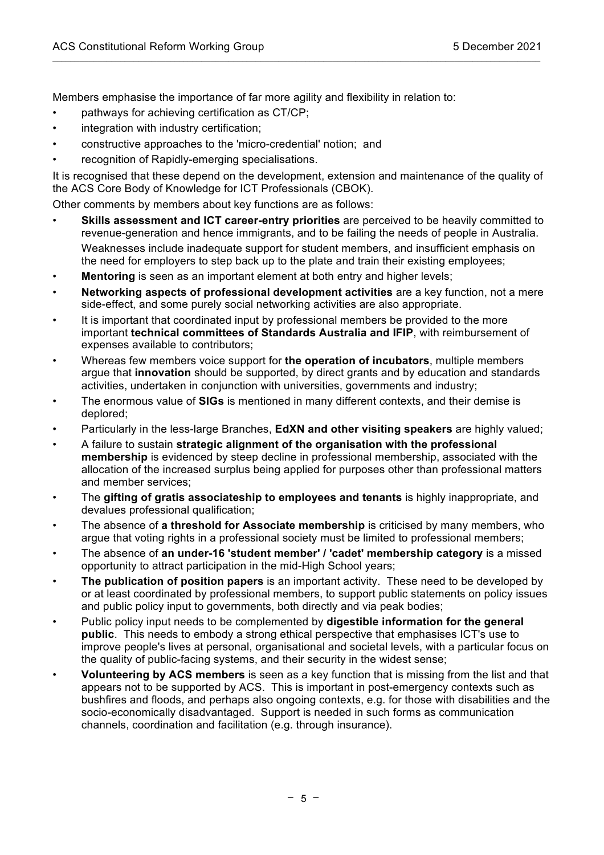Members emphasise the importance of far more agility and flexibility in relation to:

- pathways for achieving certification as CT/CP;
- integration with industry certification;
- constructive approaches to the 'micro-credential' notion; and
- recognition of Rapidly-emerging specialisations.

It is recognised that these depend on the development, extension and maintenance of the quality of the ACS Core Body of Knowledge for ICT Professionals (CBOK).

 $\mathcal{L}_\mathcal{L} = \{ \mathcal{L}_\mathcal{L} = \{ \mathcal{L}_\mathcal{L} = \{ \mathcal{L}_\mathcal{L} = \{ \mathcal{L}_\mathcal{L} = \{ \mathcal{L}_\mathcal{L} = \{ \mathcal{L}_\mathcal{L} = \{ \mathcal{L}_\mathcal{L} = \{ \mathcal{L}_\mathcal{L} = \{ \mathcal{L}_\mathcal{L} = \{ \mathcal{L}_\mathcal{L} = \{ \mathcal{L}_\mathcal{L} = \{ \mathcal{L}_\mathcal{L} = \{ \mathcal{L}_\mathcal{L} = \{ \mathcal{L}_\mathcal{$ 

Other comments by members about key functions are as follows:

- **Skills assessment and ICT career-entry priorities** are perceived to be heavily committed to revenue-generation and hence immigrants, and to be failing the needs of people in Australia. Weaknesses include inadequate support for student members, and insufficient emphasis on the need for employers to step back up to the plate and train their existing employees;
- **Mentoring** is seen as an important element at both entry and higher levels:
- **Networking aspects of professional development activities** are a key function, not a mere side-effect, and some purely social networking activities are also appropriate.
- It is important that coordinated input by professional members be provided to the more important **technical committees of Standards Australia and IFIP**, with reimbursement of expenses available to contributors;
- Whereas few members voice support for **the operation of incubators**, multiple members argue that **innovation** should be supported, by direct grants and by education and standards activities, undertaken in conjunction with universities, governments and industry;
- The enormous value of **SIGs** is mentioned in many different contexts, and their demise is deplored;
- Particularly in the less-large Branches, **EdXN and other visiting speakers** are highly valued;
- A failure to sustain **strategic alignment of the organisation with the professional membership** is evidenced by steep decline in professional membership, associated with the allocation of the increased surplus being applied for purposes other than professional matters and member services;
- The **gifting of gratis associateship to employees and tenants** is highly inappropriate, and devalues professional qualification;
- The absence of **a threshold for Associate membership** is criticised by many members, who argue that voting rights in a professional society must be limited to professional members;
- The absence of **an under-16 'student member' / 'cadet' membership category** is a missed opportunity to attract participation in the mid-High School years;
- **The publication of position papers** is an important activity. These need to be developed by or at least coordinated by professional members, to support public statements on policy issues and public policy input to governments, both directly and via peak bodies;
- Public policy input needs to be complemented by **digestible information for the general public**. This needs to embody a strong ethical perspective that emphasises ICT's use to improve people's lives at personal, organisational and societal levels, with a particular focus on the quality of public-facing systems, and their security in the widest sense;
- **Volunteering by ACS members** is seen as a key function that is missing from the list and that appears not to be supported by ACS. This is important in post-emergency contexts such as bushfires and floods, and perhaps also ongoing contexts, e.g. for those with disabilities and the socio-economically disadvantaged. Support is needed in such forms as communication channels, coordination and facilitation (e.g. through insurance).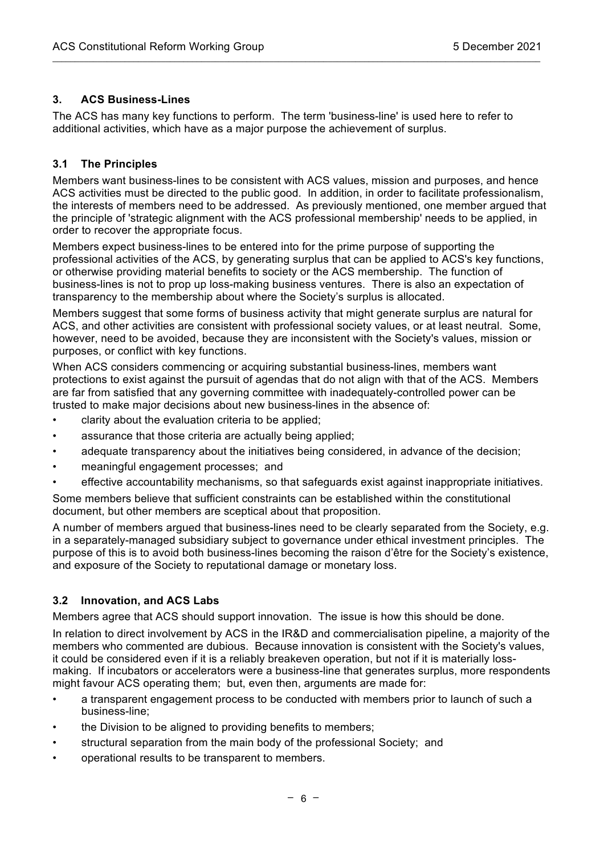### **3. ACS Business-Lines**

The ACS has many key functions to perform. The term 'business-line' is used here to refer to additional activities, which have as a major purpose the achievement of surplus.

 $\mathcal{L}_\mathcal{L} = \{ \mathcal{L}_\mathcal{L} = \{ \mathcal{L}_\mathcal{L} = \{ \mathcal{L}_\mathcal{L} = \{ \mathcal{L}_\mathcal{L} = \{ \mathcal{L}_\mathcal{L} = \{ \mathcal{L}_\mathcal{L} = \{ \mathcal{L}_\mathcal{L} = \{ \mathcal{L}_\mathcal{L} = \{ \mathcal{L}_\mathcal{L} = \{ \mathcal{L}_\mathcal{L} = \{ \mathcal{L}_\mathcal{L} = \{ \mathcal{L}_\mathcal{L} = \{ \mathcal{L}_\mathcal{L} = \{ \mathcal{L}_\mathcal{$ 

### **3.1 The Principles**

Members want business-lines to be consistent with ACS values, mission and purposes, and hence ACS activities must be directed to the public good. In addition, in order to facilitate professionalism, the interests of members need to be addressed. As previously mentioned, one member argued that the principle of 'strategic alignment with the ACS professional membership' needs to be applied, in order to recover the appropriate focus.

Members expect business-lines to be entered into for the prime purpose of supporting the professional activities of the ACS, by generating surplus that can be applied to ACS's key functions, or otherwise providing material benefits to society or the ACS membership. The function of business-lines is not to prop up loss-making business ventures. There is also an expectation of transparency to the membership about where the Society's surplus is allocated.

Members suggest that some forms of business activity that might generate surplus are natural for ACS, and other activities are consistent with professional society values, or at least neutral. Some, however, need to be avoided, because they are inconsistent with the Society's values, mission or purposes, or conflict with key functions.

When ACS considers commencing or acquiring substantial business-lines, members want protections to exist against the pursuit of agendas that do not align with that of the ACS. Members are far from satisfied that any governing committee with inadequately-controlled power can be trusted to make major decisions about new business-lines in the absence of:

- clarity about the evaluation criteria to be applied;
- assurance that those criteria are actually being applied;
- adequate transparency about the initiatives being considered, in advance of the decision;
- meaningful engagement processes; and
- effective accountability mechanisms, so that safeguards exist against inappropriate initiatives.

Some members believe that sufficient constraints can be established within the constitutional document, but other members are sceptical about that proposition.

A number of members argued that business-lines need to be clearly separated from the Society, e.g. in a separately-managed subsidiary subject to governance under ethical investment principles. The purpose of this is to avoid both business-lines becoming the raison d'être for the Society's existence, and exposure of the Society to reputational damage or monetary loss.

#### **3.2 Innovation, and ACS Labs**

Members agree that ACS should support innovation. The issue is how this should be done.

In relation to direct involvement by ACS in the IR&D and commercialisation pipeline, a majority of the members who commented are dubious. Because innovation is consistent with the Society's values, it could be considered even if it is a reliably breakeven operation, but not if it is materially lossmaking. If incubators or accelerators were a business-line that generates surplus, more respondents might favour ACS operating them; but, even then, arguments are made for:

- a transparent engagement process to be conducted with members prior to launch of such a business-line;
- the Division to be aligned to providing benefits to members;
- structural separation from the main body of the professional Society; and
- operational results to be transparent to members.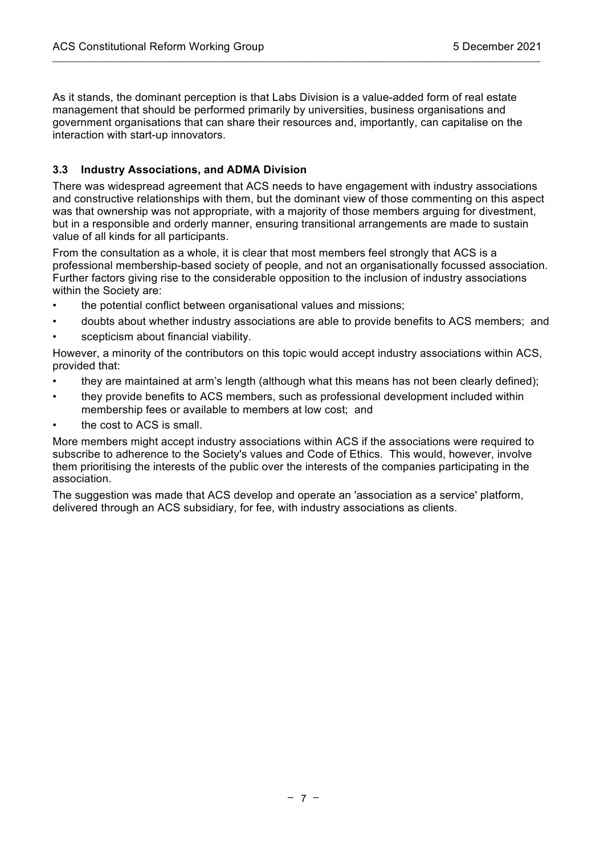As it stands, the dominant perception is that Labs Division is a value-added form of real estate management that should be performed primarily by universities, business organisations and government organisations that can share their resources and, importantly, can capitalise on the interaction with start-up innovators.

 $\mathcal{L}_\mathcal{L} = \{ \mathcal{L}_\mathcal{L} = \{ \mathcal{L}_\mathcal{L} = \{ \mathcal{L}_\mathcal{L} = \{ \mathcal{L}_\mathcal{L} = \{ \mathcal{L}_\mathcal{L} = \{ \mathcal{L}_\mathcal{L} = \{ \mathcal{L}_\mathcal{L} = \{ \mathcal{L}_\mathcal{L} = \{ \mathcal{L}_\mathcal{L} = \{ \mathcal{L}_\mathcal{L} = \{ \mathcal{L}_\mathcal{L} = \{ \mathcal{L}_\mathcal{L} = \{ \mathcal{L}_\mathcal{L} = \{ \mathcal{L}_\mathcal{$ 

### **3.3 Industry Associations, and ADMA Division**

There was widespread agreement that ACS needs to have engagement with industry associations and constructive relationships with them, but the dominant view of those commenting on this aspect was that ownership was not appropriate, with a majority of those members arguing for divestment, but in a responsible and orderly manner, ensuring transitional arrangements are made to sustain value of all kinds for all participants.

From the consultation as a whole, it is clear that most members feel strongly that ACS is a professional membership-based society of people, and not an organisationally focussed association. Further factors giving rise to the considerable opposition to the inclusion of industry associations within the Society are:

- the potential conflict between organisational values and missions;
- doubts about whether industry associations are able to provide benefits to ACS members; and scepticism about financial viability.
- However, a minority of the contributors on this topic would accept industry associations within ACS, provided that:
- they are maintained at arm's length (although what this means has not been clearly defined);
- they provide benefits to ACS members, such as professional development included within membership fees or available to members at low cost; and
- the cost to ACS is small.

More members might accept industry associations within ACS if the associations were required to subscribe to adherence to the Society's values and Code of Ethics. This would, however, involve them prioritising the interests of the public over the interests of the companies participating in the association.

The suggestion was made that ACS develop and operate an 'association as a service' platform, delivered through an ACS subsidiary, for fee, with industry associations as clients.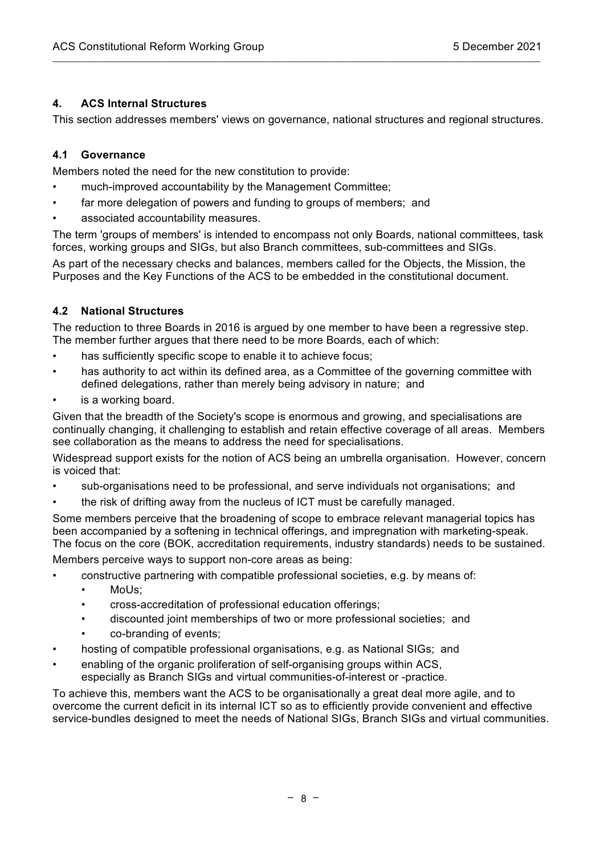### **4. ACS Internal Structures**

This section addresses members' views on governance, national structures and regional structures.

 $\mathcal{L}_\mathcal{L} = \{ \mathcal{L}_\mathcal{L} = \{ \mathcal{L}_\mathcal{L} = \{ \mathcal{L}_\mathcal{L} = \{ \mathcal{L}_\mathcal{L} = \{ \mathcal{L}_\mathcal{L} = \{ \mathcal{L}_\mathcal{L} = \{ \mathcal{L}_\mathcal{L} = \{ \mathcal{L}_\mathcal{L} = \{ \mathcal{L}_\mathcal{L} = \{ \mathcal{L}_\mathcal{L} = \{ \mathcal{L}_\mathcal{L} = \{ \mathcal{L}_\mathcal{L} = \{ \mathcal{L}_\mathcal{L} = \{ \mathcal{L}_\mathcal{$ 

### **4.1 Governance**

Members noted the need for the new constitution to provide:

- much-improved accountability by the Management Committee;
- far more delegation of powers and funding to groups of members; and
- associated accountability measures.

The term 'groups of members' is intended to encompass not only Boards, national committees, task forces, working groups and SIGs, but also Branch committees, sub-committees and SIGs.

As part of the necessary checks and balances, members called for the Objects, the Mission, the Purposes and the Key Functions of the ACS to be embedded in the constitutional document.

### **4.2 National Structures**

The reduction to three Boards in 2016 is argued by one member to have been a regressive step. The member further argues that there need to be more Boards, each of which:

- has sufficiently specific scope to enable it to achieve focus:
- has authority to act within its defined area, as a Committee of the governing committee with defined delegations, rather than merely being advisory in nature; and
- is a working board.

Given that the breadth of the Society's scope is enormous and growing, and specialisations are continually changing, it challenging to establish and retain effective coverage of all areas. Members see collaboration as the means to address the need for specialisations.

Widespread support exists for the notion of ACS being an umbrella organisation. However, concern is voiced that:

- sub-organisations need to be professional, and serve individuals not organisations; and
- the risk of drifting away from the nucleus of ICT must be carefully managed.

Some members perceive that the broadening of scope to embrace relevant managerial topics has been accompanied by a softening in technical offerings, and impregnation with marketing-speak. The focus on the core (BOK, accreditation requirements, industry standards) needs to be sustained.

Members perceive ways to support non-core areas as being:

- constructive partnering with compatible professional societies, e.g. by means of:
	- Molls:
	- cross-accreditation of professional education offerings;
	- discounted joint memberships of two or more professional societies; and
	- co-branding of events;
- hosting of compatible professional organisations, e.g. as National SIGs; and
- enabling of the organic proliferation of self-organising groups within ACS, especially as Branch SIGs and virtual communities-of-interest or -practice.

To achieve this, members want the ACS to be organisationally a great deal more agile, and to overcome the current deficit in its internal ICT so as to efficiently provide convenient and effective service-bundles designed to meet the needs of National SIGs. Branch SIGs and virtual communities.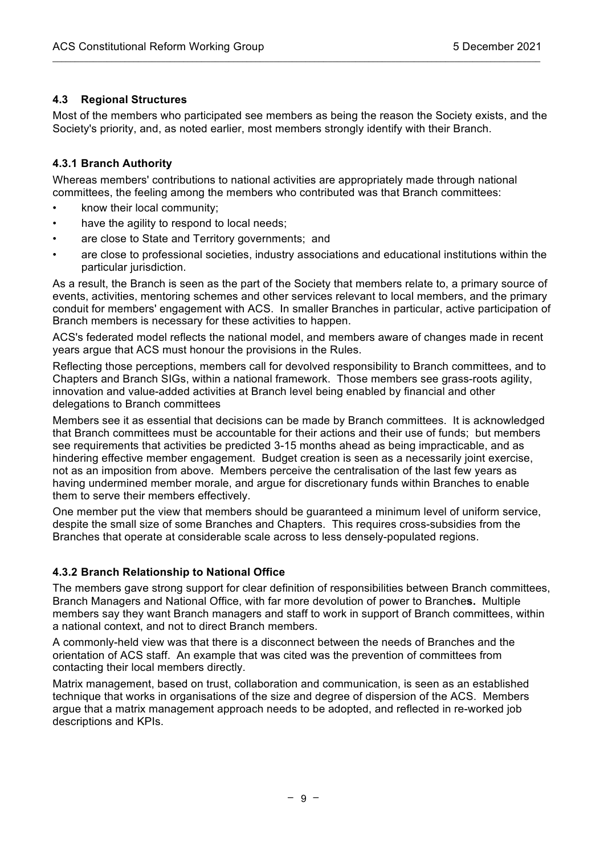### **4.3 Regional Structures**

Most of the members who participated see members as being the reason the Society exists, and the Society's priority, and, as noted earlier, most members strongly identify with their Branch.

 $\mathcal{L}_\mathcal{L} = \{ \mathcal{L}_\mathcal{L} = \{ \mathcal{L}_\mathcal{L} = \{ \mathcal{L}_\mathcal{L} = \{ \mathcal{L}_\mathcal{L} = \{ \mathcal{L}_\mathcal{L} = \{ \mathcal{L}_\mathcal{L} = \{ \mathcal{L}_\mathcal{L} = \{ \mathcal{L}_\mathcal{L} = \{ \mathcal{L}_\mathcal{L} = \{ \mathcal{L}_\mathcal{L} = \{ \mathcal{L}_\mathcal{L} = \{ \mathcal{L}_\mathcal{L} = \{ \mathcal{L}_\mathcal{L} = \{ \mathcal{L}_\mathcal{$ 

### **4.3.1 Branch Authority**

Whereas members' contributions to national activities are appropriately made through national committees, the feeling among the members who contributed was that Branch committees:

- know their local community;
- have the agility to respond to local needs;
- are close to State and Territory governments; and
- are close to professional societies, industry associations and educational institutions within the particular jurisdiction.

As a result, the Branch is seen as the part of the Society that members relate to, a primary source of events, activities, mentoring schemes and other services relevant to local members, and the primary conduit for members' engagement with ACS. In smaller Branches in particular, active participation of Branch members is necessary for these activities to happen.

ACS's federated model reflects the national model, and members aware of changes made in recent years argue that ACS must honour the provisions in the Rules.

Reflecting those perceptions, members call for devolved responsibility to Branch committees, and to Chapters and Branch SIGs, within a national framework. Those members see grass-roots agility, innovation and value-added activities at Branch level being enabled by financial and other delegations to Branch committees

Members see it as essential that decisions can be made by Branch committees. It is acknowledged that Branch committees must be accountable for their actions and their use of funds; but members see requirements that activities be predicted 3-15 months ahead as being impracticable, and as hindering effective member engagement. Budget creation is seen as a necessarily joint exercise, not as an imposition from above. Members perceive the centralisation of the last few years as having undermined member morale, and argue for discretionary funds within Branches to enable them to serve their members effectively.

One member put the view that members should be guaranteed a minimum level of uniform service, despite the small size of some Branches and Chapters. This requires cross-subsidies from the Branches that operate at considerable scale across to less densely-populated regions.

#### **4.3.2 Branch Relationship to National Office**

The members gave strong support for clear definition of responsibilities between Branch committees, Branch Managers and National Office, with far more devolution of power to Branche**s.** Multiple members say they want Branch managers and staff to work in support of Branch committees, within a national context, and not to direct Branch members.

A commonly-held view was that there is a disconnect between the needs of Branches and the orientation of ACS staff. An example that was cited was the prevention of committees from contacting their local members directly.

Matrix management, based on trust, collaboration and communication, is seen as an established technique that works in organisations of the size and degree of dispersion of the ACS. Members argue that a matrix management approach needs to be adopted, and reflected in re-worked job descriptions and KPIs.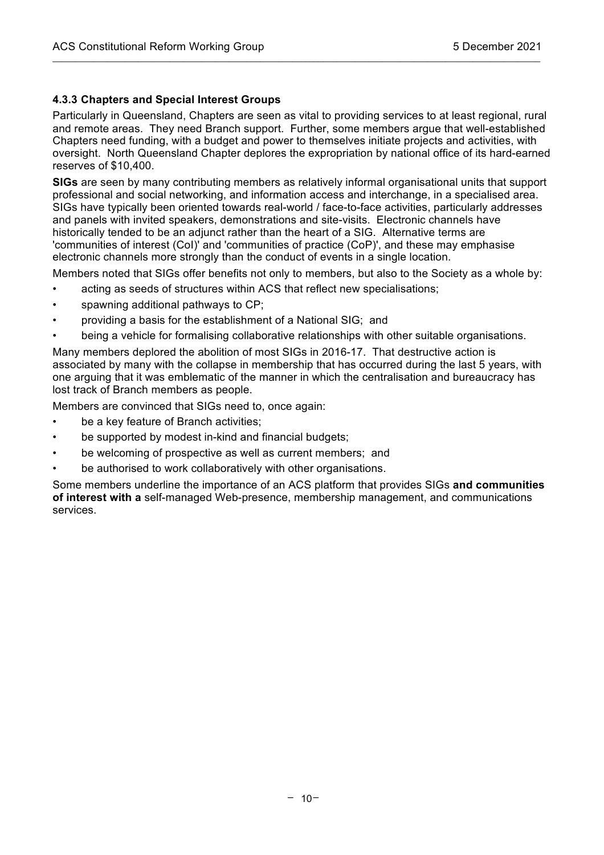#### **4.3.3 Chapters and Special Interest Groups**

Particularly in Queensland, Chapters are seen as vital to providing services to at least regional, rural and remote areas. They need Branch support. Further, some members argue that well-established Chapters need funding, with a budget and power to themselves initiate projects and activities, with oversight. North Queensland Chapter deplores the expropriation by national office of its hard-earned reserves of \$10,400.

 $\mathcal{L}_\mathcal{L} = \{ \mathcal{L}_\mathcal{L} = \{ \mathcal{L}_\mathcal{L} = \{ \mathcal{L}_\mathcal{L} = \{ \mathcal{L}_\mathcal{L} = \{ \mathcal{L}_\mathcal{L} = \{ \mathcal{L}_\mathcal{L} = \{ \mathcal{L}_\mathcal{L} = \{ \mathcal{L}_\mathcal{L} = \{ \mathcal{L}_\mathcal{L} = \{ \mathcal{L}_\mathcal{L} = \{ \mathcal{L}_\mathcal{L} = \{ \mathcal{L}_\mathcal{L} = \{ \mathcal{L}_\mathcal{L} = \{ \mathcal{L}_\mathcal{$ 

**SIGs** are seen by many contributing members as relatively informal organisational units that support professional and social networking, and information access and interchange, in a specialised area. SIGs have typically been oriented towards real-world / face-to-face activities, particularly addresses and panels with invited speakers, demonstrations and site-visits. Electronic channels have historically tended to be an adjunct rather than the heart of a SIG. Alternative terms are 'communities of interest (CoI)' and 'communities of practice (CoP)', and these may emphasise electronic channels more strongly than the conduct of events in a single location.

Members noted that SIGs offer benefits not only to members, but also to the Society as a whole by:

- acting as seeds of structures within ACS that reflect new specialisations;
- spawning additional pathways to CP;
- providing a basis for the establishment of a National SIG; and
- being a vehicle for formalising collaborative relationships with other suitable organisations.

Many members deplored the abolition of most SIGs in 2016-17. That destructive action is associated by many with the collapse in membership that has occurred during the last 5 years, with one arguing that it was emblematic of the manner in which the centralisation and bureaucracy has lost track of Branch members as people.

Members are convinced that SIGs need to, once again:

- be a key feature of Branch activities;
- be supported by modest in-kind and financial budgets;
- be welcoming of prospective as well as current members; and
- be authorised to work collaboratively with other organisations.

Some members underline the importance of an ACS platform that provides SIGs **and communities of interest with a** self-managed Web-presence, membership management, and communications services.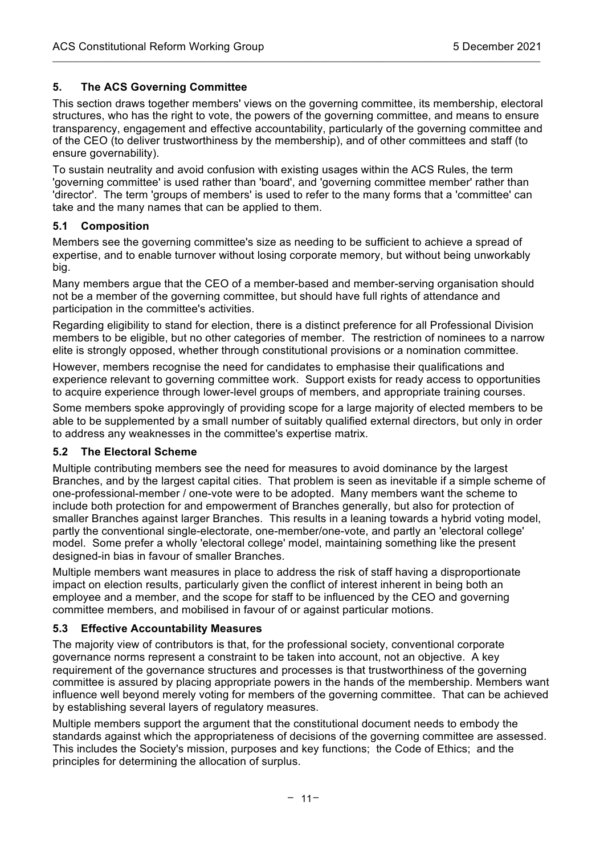# **5. The ACS Governing Committee**

This section draws together members' views on the governing committee, its membership, electoral structures, who has the right to vote, the powers of the governing committee, and means to ensure transparency, engagement and effective accountability, particularly of the governing committee and of the CEO (to deliver trustworthiness by the membership), and of other committees and staff (to ensure governability).

 $\mathcal{L}_\mathcal{L} = \{ \mathcal{L}_\mathcal{L} = \{ \mathcal{L}_\mathcal{L} = \{ \mathcal{L}_\mathcal{L} = \{ \mathcal{L}_\mathcal{L} = \{ \mathcal{L}_\mathcal{L} = \{ \mathcal{L}_\mathcal{L} = \{ \mathcal{L}_\mathcal{L} = \{ \mathcal{L}_\mathcal{L} = \{ \mathcal{L}_\mathcal{L} = \{ \mathcal{L}_\mathcal{L} = \{ \mathcal{L}_\mathcal{L} = \{ \mathcal{L}_\mathcal{L} = \{ \mathcal{L}_\mathcal{L} = \{ \mathcal{L}_\mathcal{$ 

To sustain neutrality and avoid confusion with existing usages within the ACS Rules, the term 'governing committee' is used rather than 'board', and 'governing committee member' rather than 'director'. The term 'groups of members' is used to refer to the many forms that a 'committee' can take and the many names that can be applied to them.

### **5.1 Composition**

Members see the governing committee's size as needing to be sufficient to achieve a spread of expertise, and to enable turnover without losing corporate memory, but without being unworkably big.

Many members argue that the CEO of a member-based and member-serving organisation should not be a member of the governing committee, but should have full rights of attendance and participation in the committee's activities.

Regarding eligibility to stand for election, there is a distinct preference for all Professional Division members to be eligible, but no other categories of member. The restriction of nominees to a narrow elite is strongly opposed, whether through constitutional provisions or a nomination committee.

However, members recognise the need for candidates to emphasise their qualifications and experience relevant to governing committee work. Support exists for ready access to opportunities to acquire experience through lower-level groups of members, and appropriate training courses.

Some members spoke approvingly of providing scope for a large majority of elected members to be able to be supplemented by a small number of suitably qualified external directors, but only in order to address any weaknesses in the committee's expertise matrix.

# **5.2 The Electoral Scheme**

Multiple contributing members see the need for measures to avoid dominance by the largest Branches, and by the largest capital cities. That problem is seen as inevitable if a simple scheme of one-professional-member / one-vote were to be adopted. Many members want the scheme to include both protection for and empowerment of Branches generally, but also for protection of smaller Branches against larger Branches. This results in a leaning towards a hybrid voting model, partly the conventional single-electorate, one-member/one-vote, and partly an 'electoral college' model. Some prefer a wholly 'electoral college' model, maintaining something like the present designed-in bias in favour of smaller Branches.

Multiple members want measures in place to address the risk of staff having a disproportionate impact on election results, particularly given the conflict of interest inherent in being both an employee and a member, and the scope for staff to be influenced by the CEO and governing committee members, and mobilised in favour of or against particular motions.

# **5.3 Effective Accountability Measures**

The majority view of contributors is that, for the professional society, conventional corporate governance norms represent a constraint to be taken into account, not an objective. A key requirement of the governance structures and processes is that trustworthiness of the governing committee is assured by placing appropriate powers in the hands of the membership. Members want influence well beyond merely voting for members of the governing committee. That can be achieved by establishing several layers of regulatory measures.

Multiple members support the argument that the constitutional document needs to embody the standards against which the appropriateness of decisions of the governing committee are assessed. This includes the Society's mission, purposes and key functions; the Code of Ethics; and the principles for determining the allocation of surplus.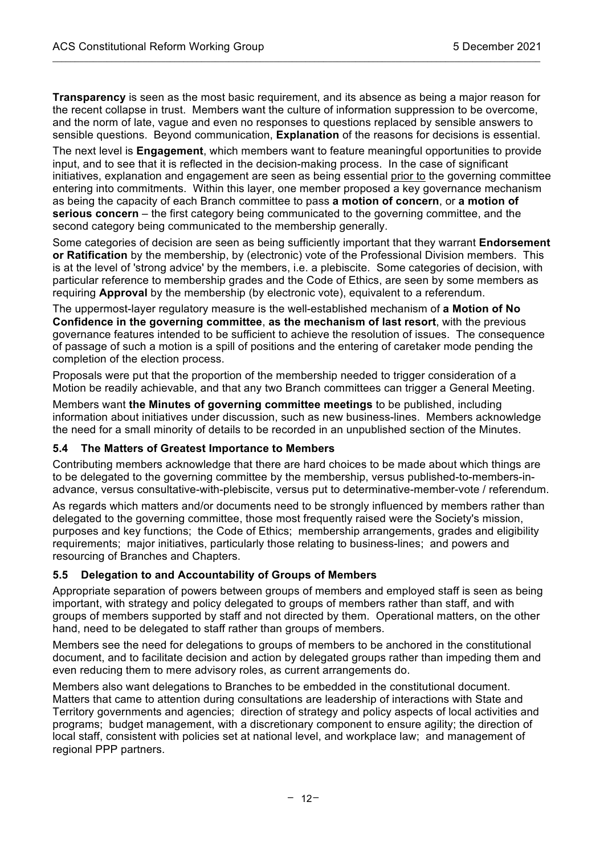**Transparency** is seen as the most basic requirement, and its absence as being a major reason for the recent collapse in trust. Members want the culture of information suppression to be overcome, and the norm of late, vague and even no responses to questions replaced by sensible answers to sensible questions. Beyond communication, **Explanation** of the reasons for decisions is essential.

 $\mathcal{L}_\mathcal{L} = \{ \mathcal{L}_\mathcal{L} = \{ \mathcal{L}_\mathcal{L} = \{ \mathcal{L}_\mathcal{L} = \{ \mathcal{L}_\mathcal{L} = \{ \mathcal{L}_\mathcal{L} = \{ \mathcal{L}_\mathcal{L} = \{ \mathcal{L}_\mathcal{L} = \{ \mathcal{L}_\mathcal{L} = \{ \mathcal{L}_\mathcal{L} = \{ \mathcal{L}_\mathcal{L} = \{ \mathcal{L}_\mathcal{L} = \{ \mathcal{L}_\mathcal{L} = \{ \mathcal{L}_\mathcal{L} = \{ \mathcal{L}_\mathcal{$ 

The next level is **Engagement**, which members want to feature meaningful opportunities to provide input, and to see that it is reflected in the decision-making process. In the case of significant initiatives, explanation and engagement are seen as being essential prior to the governing committee entering into commitments. Within this layer, one member proposed a key governance mechanism as being the capacity of each Branch committee to pass **a motion of concern**, or **a motion of serious concern** – the first category being communicated to the governing committee, and the second category being communicated to the membership generally.

Some categories of decision are seen as being sufficiently important that they warrant **Endorsement or Ratification** by the membership, by (electronic) vote of the Professional Division members. This is at the level of 'strong advice' by the members, i.e. a plebiscite. Some categories of decision, with particular reference to membership grades and the Code of Ethics, are seen by some members as requiring **Approval** by the membership (by electronic vote), equivalent to a referendum.

The uppermost-layer regulatory measure is the well-established mechanism of **a Motion of No Confidence in the governing committee**, **as the mechanism of last resort**, with the previous governance features intended to be sufficient to achieve the resolution of issues. The consequence of passage of such a motion is a spill of positions and the entering of caretaker mode pending the completion of the election process.

Proposals were put that the proportion of the membership needed to trigger consideration of a Motion be readily achievable, and that any two Branch committees can trigger a General Meeting.

Members want **the Minutes of governing committee meetings** to be published, including information about initiatives under discussion, such as new business-lines. Members acknowledge the need for a small minority of details to be recorded in an unpublished section of the Minutes.

#### **5.4 The Matters of Greatest Importance to Members**

Contributing members acknowledge that there are hard choices to be made about which things are to be delegated to the governing committee by the membership, versus published-to-members-inadvance, versus consultative-with-plebiscite, versus put to determinative-member-vote / referendum.

As regards which matters and/or documents need to be strongly influenced by members rather than delegated to the governing committee, those most frequently raised were the Society's mission, purposes and key functions; the Code of Ethics; membership arrangements, grades and eligibility requirements; major initiatives, particularly those relating to business-lines; and powers and resourcing of Branches and Chapters.

#### **5.5 Delegation to and Accountability of Groups of Members**

Appropriate separation of powers between groups of members and employed staff is seen as being important, with strategy and policy delegated to groups of members rather than staff, and with groups of members supported by staff and not directed by them. Operational matters, on the other hand, need to be delegated to staff rather than groups of members.

Members see the need for delegations to groups of members to be anchored in the constitutional document, and to facilitate decision and action by delegated groups rather than impeding them and even reducing them to mere advisory roles, as current arrangements do.

Members also want delegations to Branches to be embedded in the constitutional document. Matters that came to attention during consultations are leadership of interactions with State and Territory governments and agencies; direction of strategy and policy aspects of local activities and programs; budget management, with a discretionary component to ensure agility; the direction of local staff, consistent with policies set at national level, and workplace law; and management of regional PPP partners.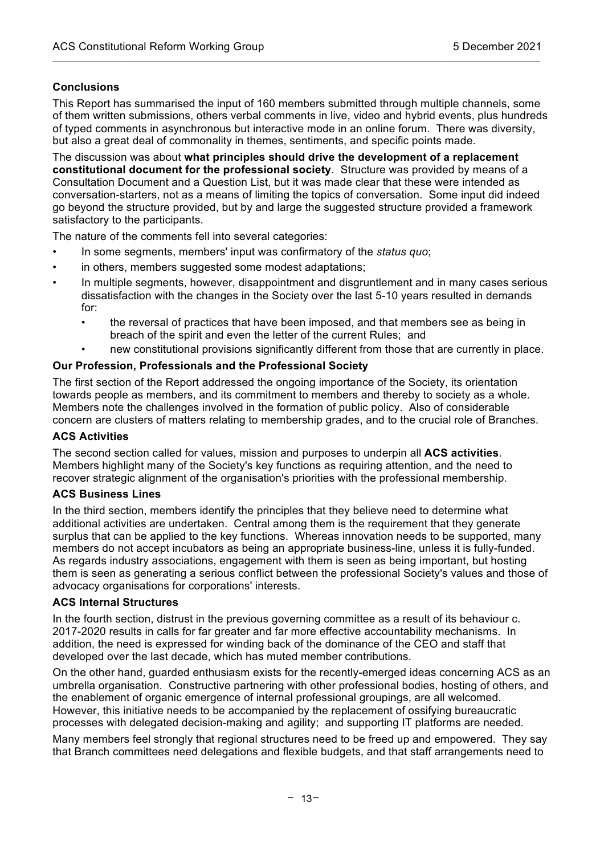# **Conclusions**

This Report has summarised the input of 160 members submitted through multiple channels, some of them written submissions, others verbal comments in live, video and hybrid events, plus hundreds of typed comments in asynchronous but interactive mode in an online forum. There was diversity, but also a great deal of commonality in themes, sentiments, and specific points made.

 $\mathcal{L}_\mathcal{L} = \{ \mathcal{L}_\mathcal{L} = \{ \mathcal{L}_\mathcal{L} = \{ \mathcal{L}_\mathcal{L} = \{ \mathcal{L}_\mathcal{L} = \{ \mathcal{L}_\mathcal{L} = \{ \mathcal{L}_\mathcal{L} = \{ \mathcal{L}_\mathcal{L} = \{ \mathcal{L}_\mathcal{L} = \{ \mathcal{L}_\mathcal{L} = \{ \mathcal{L}_\mathcal{L} = \{ \mathcal{L}_\mathcal{L} = \{ \mathcal{L}_\mathcal{L} = \{ \mathcal{L}_\mathcal{L} = \{ \mathcal{L}_\mathcal{$ 

The discussion was about **what principles should drive the development of a replacement constitutional document for the professional society**. Structure was provided by means of a Consultation Document and a Question List, but it was made clear that these were intended as conversation-starters, not as a means of limiting the topics of conversation. Some input did indeed go beyond the structure provided, but by and large the suggested structure provided a framework satisfactory to the participants.

The nature of the comments fell into several categories:

- In some segments, members' input was confirmatory of the *status quo*;
- in others, members suggested some modest adaptations;
- In multiple segments, however, disappointment and disgruntlement and in many cases serious dissatisfaction with the changes in the Society over the last 5-10 years resulted in demands for:
	- the reversal of practices that have been imposed, and that members see as being in breach of the spirit and even the letter of the current Rules; and
	- new constitutional provisions significantly different from those that are currently in place.

#### **Our Profession, Professionals and the Professional Society**

The first section of the Report addressed the ongoing importance of the Society, its orientation towards people as members, and its commitment to members and thereby to society as a whole. Members note the challenges involved in the formation of public policy. Also of considerable concern are clusters of matters relating to membership grades, and to the crucial role of Branches.

#### **ACS Activities**

The second section called for values, mission and purposes to underpin all **ACS activities**. Members highlight many of the Society's key functions as requiring attention, and the need to recover strategic alignment of the organisation's priorities with the professional membership.

#### **ACS Business Lines**

In the third section, members identify the principles that they believe need to determine what additional activities are undertaken. Central among them is the requirement that they generate surplus that can be applied to the key functions. Whereas innovation needs to be supported, many members do not accept incubators as being an appropriate business-line, unless it is fully-funded. As regards industry associations, engagement with them is seen as being important, but hosting them is seen as generating a serious conflict between the professional Society's values and those of advocacy organisations for corporations' interests.

#### **ACS Internal Structures**

In the fourth section, distrust in the previous governing committee as a result of its behaviour c. 2017-2020 results in calls for far greater and far more effective accountability mechanisms. In addition, the need is expressed for winding back of the dominance of the CEO and staff that developed over the last decade, which has muted member contributions.

On the other hand, guarded enthusiasm exists for the recently-emerged ideas concerning ACS as an umbrella organisation. Constructive partnering with other professional bodies, hosting of others, and the enablement of organic emergence of internal professional groupings, are all welcomed. However, this initiative needs to be accompanied by the replacement of ossifying bureaucratic processes with delegated decision-making and agility; and supporting IT platforms are needed.

Many members feel strongly that regional structures need to be freed up and empowered. They say that Branch committees need delegations and flexible budgets, and that staff arrangements need to